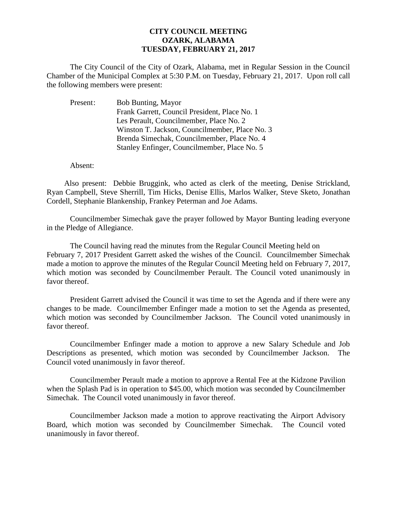## **CITY COUNCIL MEETING OZARK, ALABAMA TUESDAY, FEBRUARY 21, 2017**

The City Council of the City of Ozark, Alabama, met in Regular Session in the Council Chamber of the Municipal Complex at 5:30 P.M. on Tuesday, February 21, 2017. Upon roll call the following members were present:

| Present: | <b>Bob Bunting, Mayor</b>                      |
|----------|------------------------------------------------|
|          | Frank Garrett, Council President, Place No. 1  |
|          | Les Perault, Councilmember, Place No. 2        |
|          | Winston T. Jackson, Councilmember, Place No. 3 |
|          | Brenda Simechak, Councilmember, Place No. 4    |
|          | Stanley Enfinger, Councilmember, Place No. 5   |

Absent:

Also present: Debbie Bruggink, who acted as clerk of the meeting, Denise Strickland, Ryan Campbell, Steve Sherrill, Tim Hicks, Denise Ellis, Marlos Walker, Steve Sketo, Jonathan Cordell, Stephanie Blankenship, Frankey Peterman and Joe Adams.

Councilmember Simechak gave the prayer followed by Mayor Bunting leading everyone in the Pledge of Allegiance.

The Council having read the minutes from the Regular Council Meeting held on February 7, 2017 President Garrett asked the wishes of the Council. Councilmember Simechak made a motion to approve the minutes of the Regular Council Meeting held on February 7, 2017, which motion was seconded by Councilmember Perault. The Council voted unanimously in favor thereof.

President Garrett advised the Council it was time to set the Agenda and if there were any changes to be made. Councilmember Enfinger made a motion to set the Agenda as presented, which motion was seconded by Councilmember Jackson. The Council voted unanimously in favor thereof.

 Councilmember Enfinger made a motion to approve a new Salary Schedule and Job Descriptions as presented, which motion was seconded by Councilmember Jackson. The Council voted unanimously in favor thereof.

Councilmember Perault made a motion to approve a Rental Fee at the Kidzone Pavilion when the Splash Pad is in operation to \$45.00, which motion was seconded by Councilmember Simechak. The Council voted unanimously in favor thereof.

Councilmember Jackson made a motion to approve reactivating the Airport Advisory Board, which motion was seconded by Councilmember Simechak. The Council voted unanimously in favor thereof.